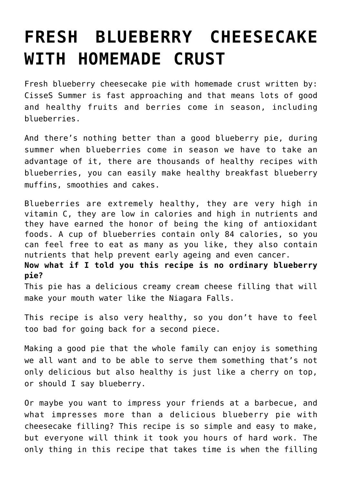## **[FRESH BLUEBERRY CHEESECAKE](https://www.mamamiarecipes.com/fresh-blueberry-cheesecake-with-homemade-crust/) [WITH HOMEMADE CRUST](https://www.mamamiarecipes.com/fresh-blueberry-cheesecake-with-homemade-crust/)**

Fresh blueberry cheesecake pie with homemade crust written by: CisseS Summer is fast approaching and that means lots of good and healthy fruits and berries come in season, including blueberries.

And there's nothing better than a good blueberry pie, during summer when blueberries come in season we have to take an advantage of it, there are thousands of healthy recipes with blueberries, you can easily make healthy breakfast blueberry muffins, smoothies and cakes.

Blueberries are extremely healthy, they are very high in vitamin C, they are low in calories and high in nutrients and they have earned the honor of being the king of antioxidant foods. A cup of blueberries contain only 84 calories, so you can feel free to eat as many as you like, they also contain nutrients that help prevent early ageing and even cancer.

**Now what if I told you this recipe is no ordinary blueberry pie?**

This pie has a delicious creamy cream cheese filling that will make your mouth water like the Niagara Falls.

This recipe is also very healthy, so you don't have to feel too bad for going back for a second piece.

Making a good pie that the whole family can enjoy is something we all want and to be able to serve them something that's not only delicious but also healthy is just like a cherry on top, or should I say blueberry.

Or maybe you want to impress your friends at a barbecue, and what impresses more than a delicious blueberry pie with cheesecake filling? This recipe is so simple and easy to make, but everyone will think it took you hours of hard work. The only thing in this recipe that takes time is when the filling